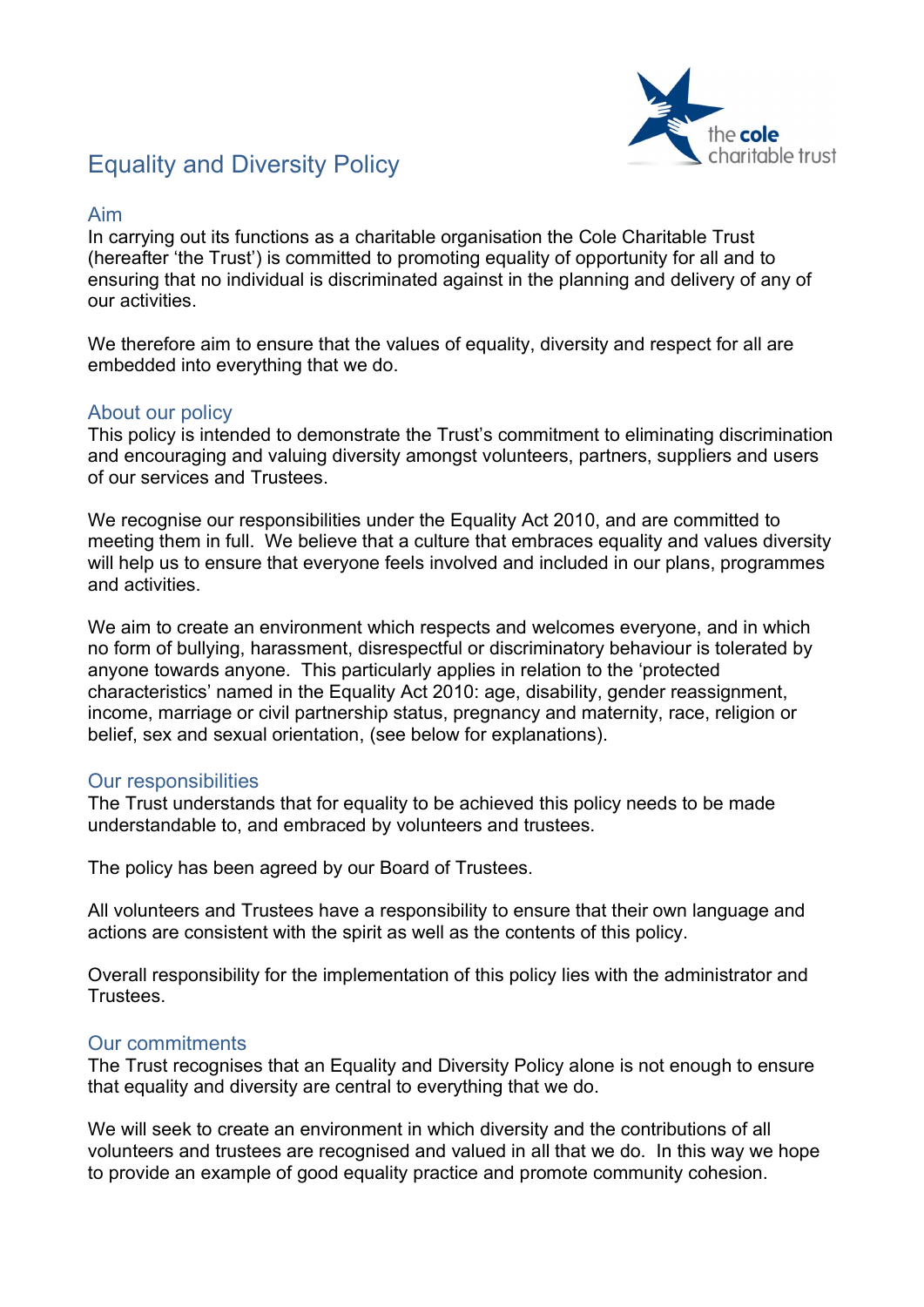

# Equality and Diversity Policy

## Aim

In carrying out its functions as a charitable organisation the Cole Charitable Trust (hereafter 'the Trust') is committed to promoting equality of opportunity for all and to ensuring that no individual is discriminated against in the planning and delivery of any of our activities.

We therefore aim to ensure that the values of equality, diversity and respect for all are embedded into everything that we do.

### About our policy

This policy is intended to demonstrate the Trust's commitment to eliminating discrimination and encouraging and valuing diversity amongst volunteers, partners, suppliers and users of our services and Trustees.

We recognise our responsibilities under the Equality Act 2010, and are committed to meeting them in full. We believe that a culture that embraces equality and values diversity will help us to ensure that everyone feels involved and included in our plans, programmes and activities.

We aim to create an environment which respects and welcomes everyone, and in which no form of bullying, harassment, disrespectful or discriminatory behaviour is tolerated by anyone towards anyone. This particularly applies in relation to the 'protected characteristics' named in the Equality Act 2010: age, disability, gender reassignment, income, marriage or civil partnership status, pregnancy and maternity, race, religion or belief, sex and sexual orientation, (see below for explanations).

### Our responsibilities

The Trust understands that for equality to be achieved this policy needs to be made understandable to, and embraced by volunteers and trustees.

The policy has been agreed by our Board of Trustees.

All volunteers and Trustees have a responsibility to ensure that their own language and actions are consistent with the spirit as well as the contents of this policy.

Overall responsibility for the implementation of this policy lies with the administrator and Trustees.

### Our commitments

The Trust recognises that an Equality and Diversity Policy alone is not enough to ensure that equality and diversity are central to everything that we do.

We will seek to create an environment in which diversity and the contributions of all volunteers and trustees are recognised and valued in all that we do. In this way we hope to provide an example of good equality practice and promote community cohesion.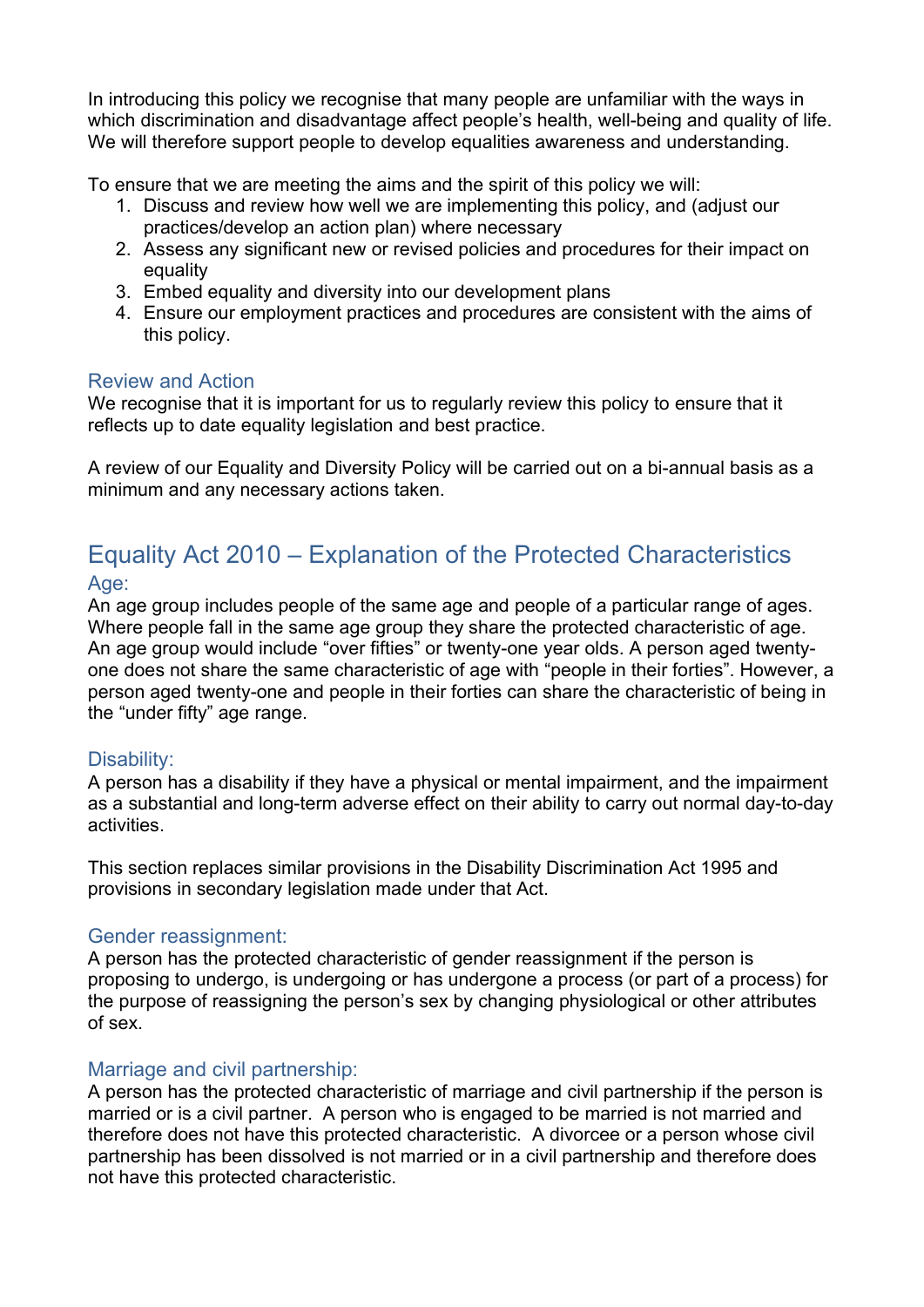In introducing this policy we recognise that many people are unfamiliar with the ways in which discrimination and disadvantage affect people's health, well-being and quality of life. We will therefore support people to develop equalities awareness and understanding.

To ensure that we are meeting the aims and the spirit of this policy we will:

- 1. Discuss and review how well we are implementing this policy, and (adjust our practices/develop an action plan) where necessary
- 2. Assess any significant new or revised policies and procedures for their impact on equality
- 3. Embed equality and diversity into our development plans
- 4. Ensure our employment practices and procedures are consistent with the aims of this policy.

### Review and Action

We recognise that it is important for us to regularly review this policy to ensure that it reflects up to date equality legislation and best practice.

A review of our Equality and Diversity Policy will be carried out on a bi-annual basis as a minimum and any necessary actions taken.

# Equality Act 2010 – Explanation of the Protected Characteristics Age:

An age group includes people of the same age and people of a particular range of ages. Where people fall in the same age group they share the protected characteristic of age. An age group would include "over fifties" or twenty-one year olds. A person aged twentyone does not share the same characteristic of age with "people in their forties". However, a person aged twenty-one and people in their forties can share the characteristic of being in the "under fifty" age range.

# Disability:

A person has a disability if they have a physical or mental impairment, and the impairment as a substantial and long-term adverse effect on their ability to carry out normal day-to-day activities.

This section replaces similar provisions in the Disability Discrimination Act 1995 and provisions in secondary legislation made under that Act.

### Gender reassignment:

A person has the protected characteristic of gender reassignment if the person is proposing to undergo, is undergoing or has undergone a process (or part of a process) for the purpose of reassigning the person's sex by changing physiological or other attributes of sex.

### Marriage and civil partnership:

A person has the protected characteristic of marriage and civil partnership if the person is married or is a civil partner. A person who is engaged to be married is not married and therefore does not have this protected characteristic. A divorcee or a person whose civil partnership has been dissolved is not married or in a civil partnership and therefore does not have this protected characteristic.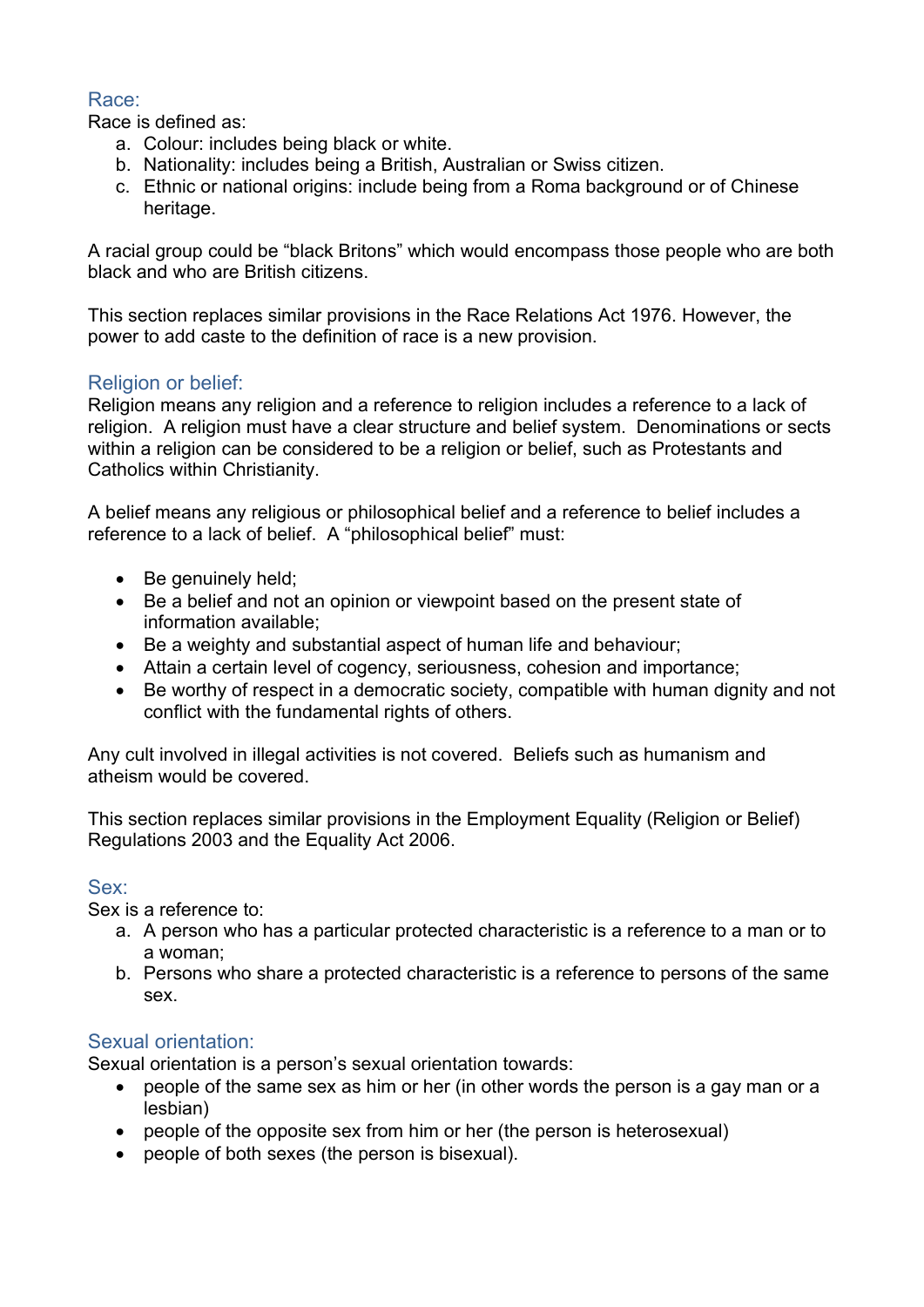# Race:

Race is defined as:

- a. Colour: includes being black or white.
- b. Nationality: includes being a British, Australian or Swiss citizen.
- c. Ethnic or national origins: include being from a Roma background or of Chinese heritage.

A racial group could be "black Britons" which would encompass those people who are both black and who are British citizens.

This section replaces similar provisions in the Race Relations Act 1976. However, the power to add caste to the definition of race is a new provision.

# Religion or belief:

Religion means any religion and a reference to religion includes a reference to a lack of religion. A religion must have a clear structure and belief system. Denominations or sects within a religion can be considered to be a religion or belief, such as Protestants and Catholics within Christianity.

A belief means any religious or philosophical belief and a reference to belief includes a reference to a lack of belief. A "philosophical belief" must:

- Be genuinely held:
- Be a belief and not an opinion or viewpoint based on the present state of information available;
- Be a weighty and substantial aspect of human life and behaviour;
- Attain a certain level of cogency, seriousness, cohesion and importance;
- Be worthy of respect in a democratic society, compatible with human dignity and not conflict with the fundamental rights of others.

Any cult involved in illegal activities is not covered. Beliefs such as humanism and atheism would be covered.

This section replaces similar provisions in the Employment Equality (Religion or Belief) Regulations 2003 and the Equality Act 2006.

# Sex:

Sex is a reference to:

- a. A person who has a particular protected characteristic is a reference to a man or to a woman;
- b. Persons who share a protected characteristic is a reference to persons of the same sex.

# Sexual orientation:

Sexual orientation is a person's sexual orientation towards:

- people of the same sex as him or her (in other words the person is a gay man or a lesbian)
- people of the opposite sex from him or her (the person is heterosexual)
- people of both sexes (the person is bisexual).